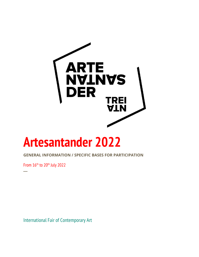

# **Artesantander 2022**

**GENERAL INFORMATION / SPECIFIC BASES FOR PARTICIPATION**

From  $16<sup>th</sup>$  to 20<sup>th</sup> July 2022

**─**

International Fair of Contemporary Art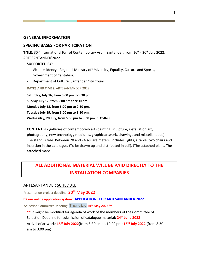#### **GENERAL INFORMATION**

#### **SPECIFIC BASES FOR PARTICIPATION**

**TITLE:** 30<sup>th</sup> International Fair of Contemporary Art in Santander, from 16<sup>th</sup> - 20<sup>th</sup> July 2022. ARTESANTANDER'2022

#### **SUPPORTED BY:**

- **-** Vicepresidency Regional Ministry of University, Equality, Culture and Sports, Government of Cantabria.
- **-** Department of Culture. Santander City Council.

#### **DATES AND TIMES:** ARTESANTANDER'2022:

**Saturday, July 16, from 5:00 pm to 9:30 pm. Sunday July 17, from 5:00 pm to 9:30 pm. Monday July 18, from 5:00 pm to 9:30 pm. Tuesday July 19, from 5:00 pm to 9:30 pm. Wednesday, 20 July, from 5:00 pm to 9:30 pm. CLOSING**

**CONTENT:** 42 galleries of contemporary art (painting, sculpture, installation art, photography, new technology mediums, graphic artwork, drawings and miscellaneous). The stand is free. Between 20 and 24 square meters, includes lights, a table, two chairs and insertion in the catalogue. (To be drawn up and distributed in pdf). (The attached plans. The attached maps).

## **ALL ADDITIONAL MATERIAL WILL BE PAID DIRECTLY TO THE INSTALLATION COMPANIES**

#### ARTESANTANDER SCHEDULE

Presentation project deadline: **30th May 2022**

#### **BY our online application system: [APPLICATIONS FOR ARTESANTANDER 2022](https://fairs.itgalleryapp.com/en_EN/artesantander)**

Selection Committee Meeting: Thursday **14th May 2022\*\***

\*\* It might be modified for agenda of work of the members of the Committee of Selection Deadline for submission of catalogue material: **24th June 2022**

Arrival of artwork: **15th July 2022**(from 8:30 am to 10.00 pm) **16th July 2022** (from 8:30 am to 3:00 pm)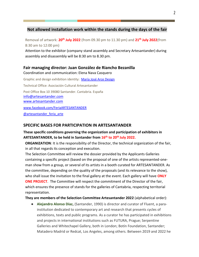#### **Not allowed installation work within the stands during the days of the fair**

Removal of artwork: **20 th July 2022** (from 09.30 pm to 11.30 pm) and **21 th July 2022**(from 8:30 am to 12:00 pm)

Attention to the exhibitor (company stand assembly and Secretary Artesantander) during assembly and disassembly will be 8:30 am to 8.30 pm.

#### **Fair managing director: Juan González de Riancho Bezanilla**

Coordination and communication: Elena Nava Casquero

Graphic and design exhibition identity: [María José Arce Design](https://mariajosearce.es/) Technical Office: Asociación Cultural Artesantander Post Office Box 10 39080 Santander. Cantabria. España [info@artesantander.com](mailto:info@artesantander.com)  [www.artesantander.com](http://www.artesantander.com/) [www.facebook.com/FeriaARTESANTANDER](http://www.facebook.com/FeriaARTESANTANDER)

@artesantander feria\_arte

#### **SPECIFIC BASES FOR PARTICIPATION IN ARTESANTANDER**

#### **These specific conditions governing the organization and participation of exhibitors in ARTESANTANDER, to be held in Santander from 16th to 20th July 2022.**

**ORGANIZATION**: It is the responsibility of the Director, the technical organization of the fair, in all that regards its conception and execution.

The Selection Committee will review the dossier provided by the Applicants Galleries containing a specific project (based on the proposal of one of the artists represented-oneman show from a group, or several of its artists in a booth curated for ARTESANTANDER. As the committee, depending on the quality of the proposals (and its relevance to the show), who shall issue the invitation to the final gallery at the event. Each gallery will have **ONLY ONE PROJECT**. The Committee will respect the commitment of the Director of the fair, which ensures the presence of stands for the galleries of Cantabria, respecting territorial representation.

**They are members of the Selection Committee Artesantander 2022** (alphabetical order):

● **Alejandro Alonso Díaz,** (Santander, 1990) is director and curator of Fluent, a parainstitution dedicated to contemporary art and research that presents cycles of exhibitions, texts and public programs. As a curator he has participated in exhibitions and projects in international institutions such as FUTURA, Prague; Serpentine Galleries and Whitechapel Gallery, both in London; Botín Foundation, Santander; Matadero Madrid or Redcat, Los Angeles, among others. Between 2019 and 2022 he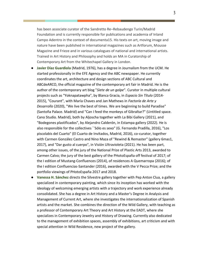has been associate curator of the Sandretto Re–Rebaudengo Turin/Madrid Foundation and is currently responsible for publications and academia of Inland Campo Adentro in the context of documenta15. His texts on art, moving image and nature have been published in international magazines such as Artforum, Mousse Magazine and Frieze and in various catalogues of national and international artists. Trained in Art History and Philosophy and holds an MA in Curatorship of Contemporary Art from the Whitechapel Gallery in London.

- **Javier Díaz Guardiola** (Madrid, 1976), has a degree in Journalism from the UCM. He started professionally in the EFE Agency and the ABC newspaper. He currently coordinates the art, architecture and design sections of ABC Cultural and ABCdeARCO, the official magazine of the contemporary art fair in Madrid. He is the author of the contemporary art blog "*Siete de un golpe*". Curator in multiple cultural projects such as "Yoknapatawpha", by Blanca Gracia, in *Espacio Sin Título* (2014- 2015), "Courant", with María Chaves and Jan Mathews in *Factoría de Arte y Desarrollo* (2020), "We live the best of times. We are beginning to build Paradise" (Santoña Palace. Madrid) and "Can I feed the monkeys of Gibraltar?" (Untitled space. Cano Studio. Madrid), both by Aljoscha together with La Bibi Gallery (2021), and "Bodegones plastificados", by Alejandro Calderón, in Estampa gallery (2022). He is also responsible for the collectives ``Sólo es sexo" (G. Fernando Pradilla, 2016), "Los piscolabis del Cuarto" (El Cuarto de Invitados, Madrid, 2016), co-curator, together with Carmen González Castro and Nino Maza of "Rewind & Remaster" (gallery 6mas1, 2017), and "Dar gusto al cuerpo", in Visión Ultravioleta (2021). He has been part, among other issues, of the jury of the National Prize of Plastic Arts 2013, awarded to Carmen Calvo; the jury of the best gallery of the PHotoEspaña off festival of 2017; of the I edition of Mustang-Confluences (2014), of residences A Quemarropa (2016); of the I edition Confluencias-Santander (2016), awarded with the V Pecca Prize; and the portfolio viewings of PHotoEspaña 2017 and 2018.
- Vanessa H. Sánchez directs the Silvestre gallery together with Pep Anton Clua, a gallery specialized in contemporary painting, which since its inception has worked with the ideology of welcoming emerging artists with a trajectory and work experience already consolidated. She has a degree in Art History and a Master's Degree in Analysis and Management of Current Art, where she investigates the internationalization of Spanish artists and the market. She combines the direction of the Wild Gallery, with teaching as a professor of Contemporary Art Theory and Art History at the EADT, where she specializes in Contemporary Jewelry and History of Drawing. Currently also dedicated to the management of exhibition spaces, assembly of exhibitions, art criticism and with special attention in Wild Residence, new project of the gallery.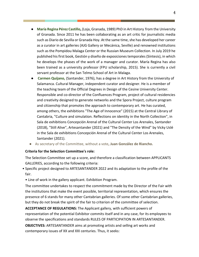- **María Regina Pérez Castillo,** (Loja, Granada, 1989) PhD in Art History from the University of Granada. Since 2011 he has been collaborating as an art critic for journalistic media such as Diario de Sevilla or Granada Hoy. At the same time, she has developed her career as a curator in art galleries (AJG Gallery or Mecánica, Seville) and renowned institutions such as the Pompidou Malaga Center or the Russian Museum Collection. In July 2019 he published his first book, Gestión y diseño de exposiciones temporales (Síntesis), in which he develops the phases of the work of a manager and curator. María Regina has also been trained as a university professor (FPU scholarship, 2015). She is currently a civil servant professor at the San Telmo School of Art in Malaga.
- **Carmen Quijano,** (Santander, 1976), has a degree in Art History from the University of Salamanca. Cultural Manager, independent curator and designer. He is a member of the teaching team of the Official Degrees in Design of the Cesine University Center. Responsible and co-director of the Confluences Program, project of cultural residencies and creativity designed to generate networks and the Spora Project, culture program and citizenship that promotes the approach to contemporary art. He has curated, among others, the exhibitions "The Age of Innocence" (2015) at the Central Library of Cantabria, "Culture and simulation. Reflections on identity in the North Collection", in Sala de exhibitions Concepción Arenal of the Cultural Center Los Arenales, Santander (2018), "Still Alive", Artesantander (2021) and "The Density of the Wind" by Vicky Uslé in the Sala de exhibitions Concepción Arenal of the Cultural Center Los Arenales, Santander (2021).
- As secretary of the Committee, without a vote**, Juan González de Riancho.**

#### **Criteria for the Selection Committee's role:**

The Selection Committee set up a score, and therefore a classification between APPLICANTS GALLERIES, according to the following criteria:

- Specific project designed to ARTESANTANDER 2022 and its adaptation to the profile of the fair.
	- Line of work in the gallery applicant. Exhibition Program.

The committee undertakes to respect the commitment made by the Director of the Fair with the institutions that make the event possible, territorial representation, which ensures the presence of 6 stands for many other Cantabrian galleries. Of some other Cantabrian galleries, but they do not break the spirit of the fair to criterion of the committee of selection.

**ACCEPTANCE OF REGULATIONS:** The Applicant gallery, with sufficient powers of representation of the potential Exhibitor commits itself and in any case, for its employees to observe the specifications and standards RULES OF PARTICIPATION IN ARTESANTANDER.

**OBJECTIVES:** ARTESANTANDER aims at promoting artists and selling art works and contemporary issues of XX and XXI centuries. Thus, it seeks: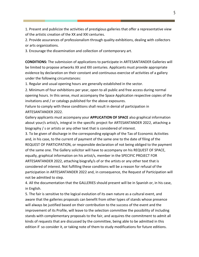1. Present and publicize the activities of prestigious galleries that offer a representative view of the artistic creation of the XX and XXI centuries.

2. Provide assurances of professionalism through quality exhibitions, dealing with collectors or arts organizations.

3. Encourage the dissemination and collection of contemporary art.

**CONDITIONS:** The submission of applications to participate in ARTESANTANDER Galleries will be limited to propose artworks XX and XXI centuries. Applicants must provide appropriate evidence by declaration on their constant and continuous exercise of activities of a gallery under the following circumstances:

1. Regular and usual opening hours are generally established in the sector.

2. Minimum of four exhibitions per year, open to all public and free access during normal opening hours. In this sense, must accompany the Space Application respective copies of the invitations and / or catalogs published for the above exposures.

Failure to comply with these conditions shall result in denial of participation in ARTESANTANDER 2022.

Gallery applicants must accompany your **APPLICATION OF SPACE** also graphical information about your/s artist/s, integral in the specific project for ARTESANTANDER 2022, attaching a biography / s or artists or any other text that is considered of interest.

3. To be given of discharge in the corresponding epigraph of the Tax of Economic Activities and, in his case, to the current of payment of the same one to the date of filing of the REQUEST OF PARTICIPATION, or responsible declaration of not being obliged to the payment of the same one. The Gallery solicitor will have to accompany on his REQUEST OF SPACE, equally, graphical information on his artist/s, member in the SPECIFIC PROJECT FOR ARTESANTANDER 2022, attaching biografy/s of or the artists or any other text that is considered of interest. Not fulfilling these conditions will be a reason for refusal of the participation in ARTESANTANDER 2022 and, in consequence, the Request of Participation will not be admitted to step.

4. All the documentation that the GALLERIES should present will be in Spanish or, in his case, in English.

5. The fair is sensitive to the logical evolution of its own nature as a cultural event, and aware that the galleries proposals can benefit from other types of stands whose presence will always be justified based on their contribution to the success of the event and the improvement of its Profile, will leave to the selection committee the possibility of including stands with complementary proposals to the fair, and acquires the commitment to admit all kinds of requests that are discussed by the committee, being able to be admitted in this edition if so consider it, or taking note of them to study modifications for future editions.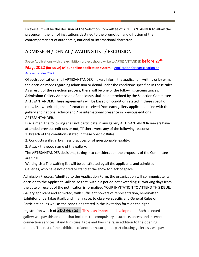Likewise, it will be the decision of the Selection Committee of ARTESANTANDER to allow the presence in the fair of institutions destined to the promotion and diffusion of the contemporary art of autonomic, national or international character.

### ADMISSION / DENIAL / WAITING LIST / EXCLUSION

Space Applications with the exhibition project should write to ARTESANTANDER **before 27th** 

#### **May, 2022 (inclusive) BY our online application system:** [Application for participation on](https://fairs.itgalleryapp.com/en_EN/ARTESANTANDER)  [Artesantander 2022](https://fairs.itgalleryapp.com/en_EN/ARTESANTANDER)

Of such application, shall ARTESANTANDER makers inform the applicant in writing or by e- mail the decision made regarding admission or denial under the conditions specified in these rules. As a result of the selection process, there will be one of the following circumstances: **Admission:** Gallery Admission of applicants shall be determined by the Selection Committee ARTESANTANDER. These agreements will be based on conditions stated in these specific rules, its own criteria, the information received from each gallery applicant, in line with the gallery and national activity and / or international presence in previous editions ARTESANTANDER.

Disclaimer: The following shall not participate in any gallery ARTESANTANDER-seekers have attended previous editions or not, "if there were any of the following reasons:

- 1. Breach of the conditions stated in these Specific Rules.
- 2. Conducting illegal business practices or of questionable legality.
- 3. Attack the good name of the gallery.

The ARTESANTANDER decisions, taking into consideration the proposals of the Committee are final.

Waiting List: The waiting list will be constituted by all the applicants and admitted Galleries, who have not opted to stand at the show for lack of space.

Admission Process: Admitted to the Application Form, the organization will communicate its decision to the Applicant Gallery, so that, within a period not exceeding 10 working days from the date of receipt of the notification is formalized YOUR INVITATION TO ATTEND THIS ISSUE. Gallery applicant and admitted, with sufficient powers of representation, hereinafter Exhibitor undertakes itself, and in any case, to observe Specific and General Rules of Participation, as well as the conditions stated in the invitation form on the right

registration which of **300 euros** This is an important development. Each selected gallery will pay this amount that includes the compulsory insurance, access and internet connection services, stand furniture: table and two chairs, in addition to the opening dinner. The rest of the exhibitors of another nature, -not participating galleries-, will pay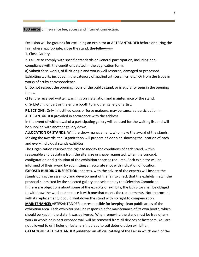**100 euros** of insurance fee, access and internet connection.

Exclusion will be grounds for excluding an exhibitor at ARTESANTANDER before or during the fair, where appropriate, close the stand, the following:

1. Close Gallery.

2. Failure to comply with specific standards or General participation, including noncompliance with the conditions stated in the application form.

a) Submit false works, of illicit origin and works well restored, damaged or processed. Exhibiting works included in the category of applied art (ceramics, etc.) Or from the trade in works of art by correspondence.

b) Do not respect the opening hours of the public stand, or irregularity seen in the opening times.

c) Failure received written warnings on installation and maintenance of the stand.

d) Subletting of part or the entire booth to another gallery or artist.

**REJECTIONS:** Only in justified cases or force majeure, may be canceled participation in ARTESANTANDER provided in accordance with the address.

In the event of withdrawal of a participating gallery will be used for the waiting list and will be supplied with another gallery down.

**ALLOCATION OF STANDS:** Will the show management, who make the award of the stands. Making the awards, the Organization will prepare a floor plan showing the location of each and every individual stands exhibitor.

The Organization reserves the right to modify the conditions of each stand, within reasonable and deviating from the site, size or shape requested, when the concept, configuration or distribution of the exhibition space as required. Each exhibitor will be informed of their award by submitting an accurate shot with indication of location.

**EXPOSED BUILDING INSPECTION:** address, with the advice of the experts will inspect the stands during the assembly and development of the fair to check that the exhibits match the proposal submitted by the selected gallery and selected by the Selection Committee.

If there are objections about some of the exhibits or exhibits, the Exhibitor shall be obliged to withdraw the work and replace it with one that meets the requirements. Not to proceed with its replacement, it could shut down the stand with no right to compensation.

**MAINTENANCE:** ARTESANTANDER are responsible for keeping clean public areas of the exhibition area. Each exhibitor shall be responsible for maintenance of its own booth, which should be kept in the state it was delivered. When removing the stand must be free of any work in whole or in part exposed wall will be removed from all devices or fasteners. You are not allowed to drill holes or fasteners that lead to soil deterioration exhibition.

**CATALOGUE:** ARTESANTANDER published an official catalog of the Fair in which each of the